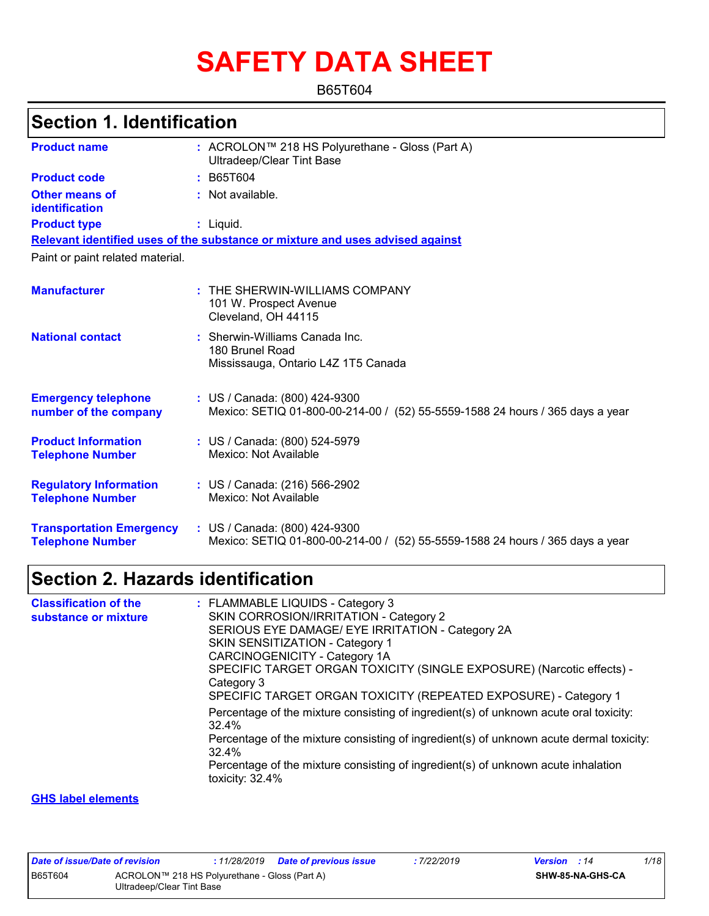# **SAFETY DATA SHEET**

B65T604

## **Section 1. Identification**

| <b>Product name</b>                                        | : ACROLON™ 218 HS Polyurethane - Gloss (Part A)<br><b>Ultradeep/Clear Tint Base</b>                            |
|------------------------------------------------------------|----------------------------------------------------------------------------------------------------------------|
| <b>Product code</b>                                        | : B65T604                                                                                                      |
| Other means of<br>identification                           | $:$ Not available.                                                                                             |
| <b>Product type</b>                                        | : Liquid.                                                                                                      |
|                                                            | Relevant identified uses of the substance or mixture and uses advised against                                  |
| Paint or paint related material.                           |                                                                                                                |
| <b>Manufacturer</b>                                        | $:$ THE SHERWIN-WILLIAMS COMPANY<br>101 W. Prospect Avenue<br>Cleveland, OH 44115                              |
| <b>National contact</b>                                    | : Sherwin-Williams Canada Inc.<br>180 Brunel Road<br>Mississauga, Ontario L4Z 1T5 Canada                       |
| <b>Emergency telephone</b><br>number of the company        | : US / Canada: (800) 424-9300<br>Mexico: SETIQ 01-800-00-214-00 / (52) 55-5559-1588 24 hours / 365 days a year |
| <b>Product Information</b><br><b>Telephone Number</b>      | : US / Canada: (800) 524-5979<br>Mexico: Not Available                                                         |
| <b>Regulatory Information</b><br><b>Telephone Number</b>   | : US / Canada: (216) 566-2902<br>Mexico: Not Available                                                         |
| <b>Transportation Emergency</b><br><b>Telephone Number</b> | : US / Canada: (800) 424-9300<br>Mexico: SETIQ 01-800-00-214-00 / (52) 55-5559-1588 24 hours / 365 days a year |

### **Section 2. Hazards identification**

| : FLAMMABLE LIQUIDS - Category 3                                                                        |
|---------------------------------------------------------------------------------------------------------|
| SKIN CORROSION/IRRITATION - Category 2                                                                  |
| SERIOUS EYE DAMAGE/ EYE IRRITATION - Category 2A                                                        |
| SKIN SENSITIZATION - Category 1                                                                         |
| CARCINOGENICITY - Category 1A                                                                           |
| SPECIFIC TARGET ORGAN TOXICITY (SINGLE EXPOSURE) (Narcotic effects) -<br>Category 3                     |
| SPECIFIC TARGET ORGAN TOXICITY (REPEATED EXPOSURE) - Category 1                                         |
| Percentage of the mixture consisting of ingredient(s) of unknown acute oral toxicity:<br>32.4%          |
| Percentage of the mixture consisting of ingredient(s) of unknown acute dermal toxicity:<br>32.4%        |
| Percentage of the mixture consisting of ingredient(s) of unknown acute inhalation<br>toxicity: $32.4\%$ |
|                                                                                                         |

#### **GHS label elements**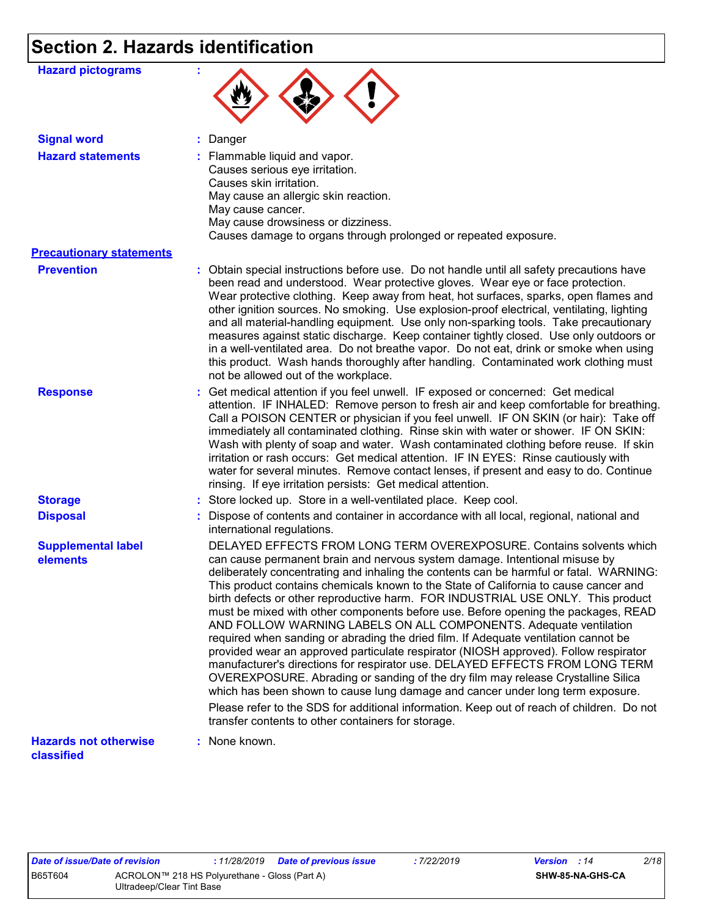## **Section 2. Hazards identification**

| <b>Hazard pictograms</b>                   |                                                                                                                                                                                                                                                                                                                                                                                                                                                                                                                                                                                                                                                                                                                                                                                                                                                                                                                                                                                                                                                                                                                                                                           |
|--------------------------------------------|---------------------------------------------------------------------------------------------------------------------------------------------------------------------------------------------------------------------------------------------------------------------------------------------------------------------------------------------------------------------------------------------------------------------------------------------------------------------------------------------------------------------------------------------------------------------------------------------------------------------------------------------------------------------------------------------------------------------------------------------------------------------------------------------------------------------------------------------------------------------------------------------------------------------------------------------------------------------------------------------------------------------------------------------------------------------------------------------------------------------------------------------------------------------------|
| <b>Signal word</b>                         | : Danger                                                                                                                                                                                                                                                                                                                                                                                                                                                                                                                                                                                                                                                                                                                                                                                                                                                                                                                                                                                                                                                                                                                                                                  |
| <b>Hazard statements</b>                   | : Flammable liquid and vapor.<br>Causes serious eye irritation.<br>Causes skin irritation.<br>May cause an allergic skin reaction.<br>May cause cancer.<br>May cause drowsiness or dizziness.<br>Causes damage to organs through prolonged or repeated exposure.                                                                                                                                                                                                                                                                                                                                                                                                                                                                                                                                                                                                                                                                                                                                                                                                                                                                                                          |
| <b>Precautionary statements</b>            |                                                                                                                                                                                                                                                                                                                                                                                                                                                                                                                                                                                                                                                                                                                                                                                                                                                                                                                                                                                                                                                                                                                                                                           |
| <b>Prevention</b>                          | : Obtain special instructions before use. Do not handle until all safety precautions have<br>been read and understood. Wear protective gloves. Wear eye or face protection.<br>Wear protective clothing. Keep away from heat, hot surfaces, sparks, open flames and<br>other ignition sources. No smoking. Use explosion-proof electrical, ventilating, lighting<br>and all material-handling equipment. Use only non-sparking tools. Take precautionary<br>measures against static discharge. Keep container tightly closed. Use only outdoors or<br>in a well-ventilated area. Do not breathe vapor. Do not eat, drink or smoke when using<br>this product. Wash hands thoroughly after handling. Contaminated work clothing must<br>not be allowed out of the workplace.                                                                                                                                                                                                                                                                                                                                                                                               |
| <b>Response</b>                            | : Get medical attention if you feel unwell. IF exposed or concerned: Get medical<br>attention. IF INHALED: Remove person to fresh air and keep comfortable for breathing.<br>Call a POISON CENTER or physician if you feel unwell. IF ON SKIN (or hair): Take off<br>immediately all contaminated clothing. Rinse skin with water or shower. IF ON SKIN:<br>Wash with plenty of soap and water. Wash contaminated clothing before reuse. If skin<br>irritation or rash occurs: Get medical attention. IF IN EYES: Rinse cautiously with<br>water for several minutes. Remove contact lenses, if present and easy to do. Continue<br>rinsing. If eye irritation persists: Get medical attention.                                                                                                                                                                                                                                                                                                                                                                                                                                                                           |
| <b>Storage</b>                             | : Store locked up. Store in a well-ventilated place. Keep cool.                                                                                                                                                                                                                                                                                                                                                                                                                                                                                                                                                                                                                                                                                                                                                                                                                                                                                                                                                                                                                                                                                                           |
| <b>Disposal</b>                            | : Dispose of contents and container in accordance with all local, regional, national and<br>international regulations.                                                                                                                                                                                                                                                                                                                                                                                                                                                                                                                                                                                                                                                                                                                                                                                                                                                                                                                                                                                                                                                    |
| <b>Supplemental label</b><br>elements      | DELAYED EFFECTS FROM LONG TERM OVEREXPOSURE. Contains solvents which<br>can cause permanent brain and nervous system damage. Intentional misuse by<br>deliberately concentrating and inhaling the contents can be harmful or fatal. WARNING:<br>This product contains chemicals known to the State of California to cause cancer and<br>birth defects or other reproductive harm. FOR INDUSTRIAL USE ONLY. This product<br>must be mixed with other components before use. Before opening the packages, READ<br>AND FOLLOW WARNING LABELS ON ALL COMPONENTS. Adequate ventilation<br>required when sanding or abrading the dried film. If Adequate ventilation cannot be<br>provided wear an approved particulate respirator (NIOSH approved). Follow respirator<br>manufacturer's directions for respirator use. DELAYED EFFECTS FROM LONG TERM<br>OVEREXPOSURE. Abrading or sanding of the dry film may release Crystalline Silica<br>which has been shown to cause lung damage and cancer under long term exposure.<br>Please refer to the SDS for additional information. Keep out of reach of children. Do not<br>transfer contents to other containers for storage. |
| <b>Hazards not otherwise</b><br>classified | : None known.                                                                                                                                                                                                                                                                                                                                                                                                                                                                                                                                                                                                                                                                                                                                                                                                                                                                                                                                                                                                                                                                                                                                                             |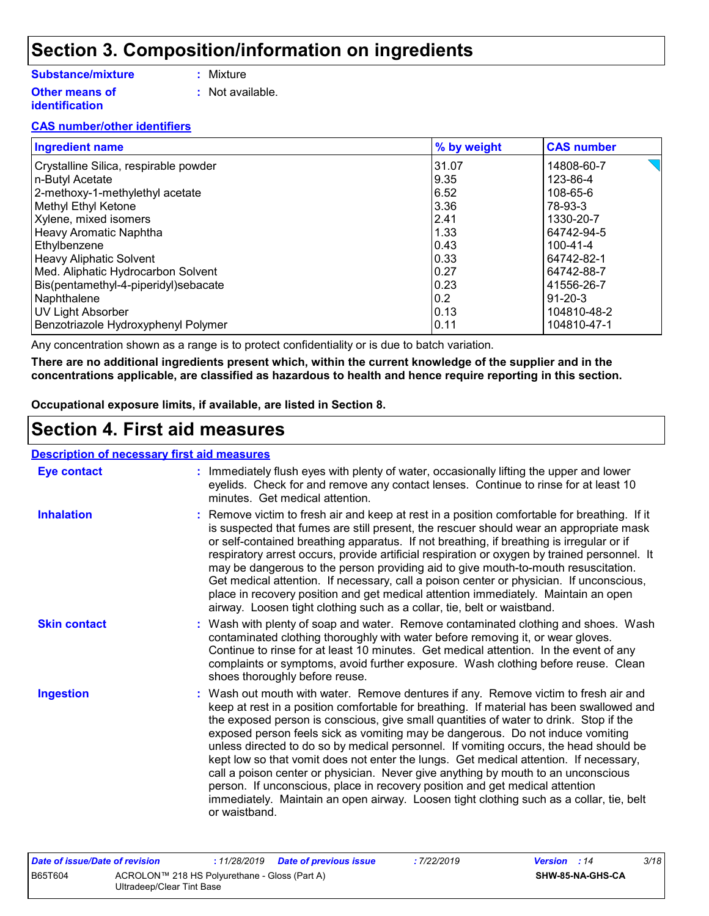## **Section 3. Composition/information on ingredients**

#### **Substance/mixture**

- **:** Mixture
- **Other means of identification**
- 
- **:** Not available.

#### **CAS number/other identifiers**

| <b>Ingredient name</b>                | % by weight | <b>CAS number</b> |
|---------------------------------------|-------------|-------------------|
| Crystalline Silica, respirable powder | 31.07       | 14808-60-7        |
| n-Butyl Acetate                       | 9.35        | 123-86-4          |
| 2-methoxy-1-methylethyl acetate       | 6.52        | 108-65-6          |
| Methyl Ethyl Ketone                   | 3.36        | 78-93-3           |
| Xylene, mixed isomers                 | 2.41        | 1330-20-7         |
| Heavy Aromatic Naphtha                | 1.33        | 64742-94-5        |
| Ethylbenzene                          | 0.43        | $100 - 41 - 4$    |
| <b>Heavy Aliphatic Solvent</b>        | 0.33        | 64742-82-1        |
| Med. Aliphatic Hydrocarbon Solvent    | 0.27        | 64742-88-7        |
| Bis(pentamethyl-4-piperidyl)sebacate  | 0.23        | 41556-26-7        |
| Naphthalene                           | 0.2         | 91-20-3           |
| UV Light Absorber                     | 0.13        | 104810-48-2       |
| Benzotriazole Hydroxyphenyl Polymer   | 0.11        | 104810-47-1       |

Any concentration shown as a range is to protect confidentiality or is due to batch variation.

**There are no additional ingredients present which, within the current knowledge of the supplier and in the concentrations applicable, are classified as hazardous to health and hence require reporting in this section.**

**Occupational exposure limits, if available, are listed in Section 8.**

### **Section 4. First aid measures**

#### **Description of necessary first aid measures**

| <b>Eye contact</b>  | : Immediately flush eyes with plenty of water, occasionally lifting the upper and lower<br>eyelids. Check for and remove any contact lenses. Continue to rinse for at least 10<br>minutes. Get medical attention.                                                                                                                                                                                                                                                                                                                                                                                                                                                                                                                                                                                                             |
|---------------------|-------------------------------------------------------------------------------------------------------------------------------------------------------------------------------------------------------------------------------------------------------------------------------------------------------------------------------------------------------------------------------------------------------------------------------------------------------------------------------------------------------------------------------------------------------------------------------------------------------------------------------------------------------------------------------------------------------------------------------------------------------------------------------------------------------------------------------|
| <b>Inhalation</b>   | : Remove victim to fresh air and keep at rest in a position comfortable for breathing. If it<br>is suspected that fumes are still present, the rescuer should wear an appropriate mask<br>or self-contained breathing apparatus. If not breathing, if breathing is irregular or if<br>respiratory arrest occurs, provide artificial respiration or oxygen by trained personnel. It<br>may be dangerous to the person providing aid to give mouth-to-mouth resuscitation.<br>Get medical attention. If necessary, call a poison center or physician. If unconscious,<br>place in recovery position and get medical attention immediately. Maintain an open<br>airway. Loosen tight clothing such as a collar, tie, belt or waistband.                                                                                          |
| <b>Skin contact</b> | : Wash with plenty of soap and water. Remove contaminated clothing and shoes. Wash<br>contaminated clothing thoroughly with water before removing it, or wear gloves.<br>Continue to rinse for at least 10 minutes. Get medical attention. In the event of any<br>complaints or symptoms, avoid further exposure. Wash clothing before reuse. Clean<br>shoes thoroughly before reuse.                                                                                                                                                                                                                                                                                                                                                                                                                                         |
| <b>Ingestion</b>    | : Wash out mouth with water. Remove dentures if any. Remove victim to fresh air and<br>keep at rest in a position comfortable for breathing. If material has been swallowed and<br>the exposed person is conscious, give small quantities of water to drink. Stop if the<br>exposed person feels sick as vomiting may be dangerous. Do not induce vomiting<br>unless directed to do so by medical personnel. If vomiting occurs, the head should be<br>kept low so that vomit does not enter the lungs. Get medical attention. If necessary,<br>call a poison center or physician. Never give anything by mouth to an unconscious<br>person. If unconscious, place in recovery position and get medical attention<br>immediately. Maintain an open airway. Loosen tight clothing such as a collar, tie, belt<br>or waistband. |

|                                                                 | Date of issue/Date of revision | : 11/28/2019  Date of previous issue | : 7/22/2019      | <b>Version</b> : 14 | 3/18 |
|-----------------------------------------------------------------|--------------------------------|--------------------------------------|------------------|---------------------|------|
| <b>B65T604</b><br>ACROLON™ 218 HS Polyurethane - Gloss (Part A) |                                |                                      | SHW-85-NA-GHS-CA |                     |      |
|                                                                 | Ultradeep/Clear Tint Base      |                                      |                  |                     |      |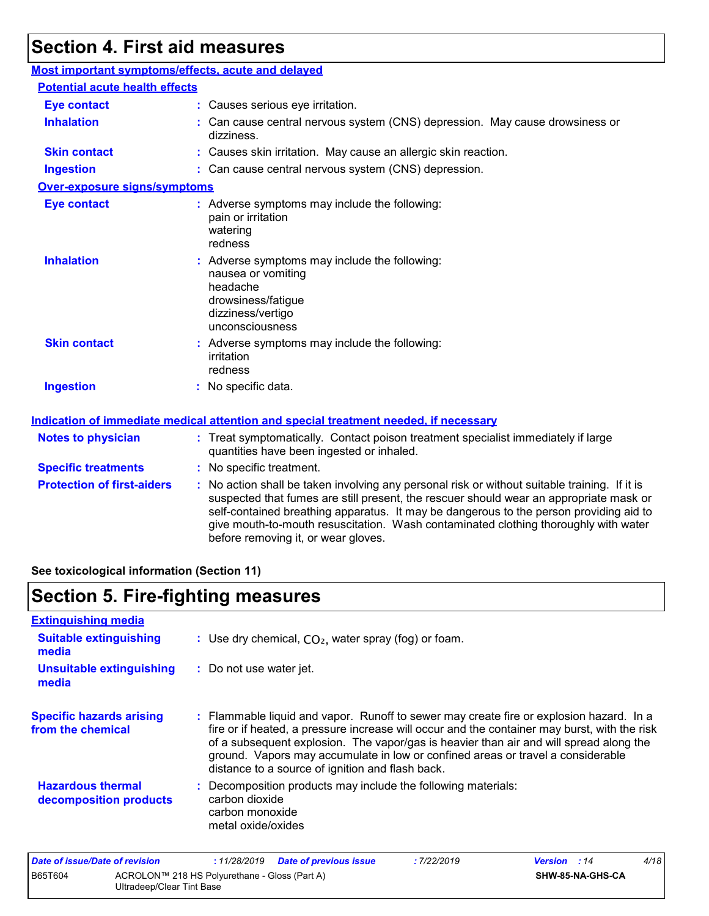## **Section 4. First aid measures**

| Most important symptoms/effects, acute and delayed |                                                                                                                                                                                                                                                                                                                                                                                                                 |  |  |  |
|----------------------------------------------------|-----------------------------------------------------------------------------------------------------------------------------------------------------------------------------------------------------------------------------------------------------------------------------------------------------------------------------------------------------------------------------------------------------------------|--|--|--|
| <b>Potential acute health effects</b>              |                                                                                                                                                                                                                                                                                                                                                                                                                 |  |  |  |
| <b>Eye contact</b>                                 | : Causes serious eye irritation.                                                                                                                                                                                                                                                                                                                                                                                |  |  |  |
| <b>Inhalation</b>                                  | : Can cause central nervous system (CNS) depression. May cause drowsiness or<br>dizziness.                                                                                                                                                                                                                                                                                                                      |  |  |  |
| <b>Skin contact</b>                                | : Causes skin irritation. May cause an allergic skin reaction.                                                                                                                                                                                                                                                                                                                                                  |  |  |  |
| <b>Ingestion</b>                                   | : Can cause central nervous system (CNS) depression.                                                                                                                                                                                                                                                                                                                                                            |  |  |  |
| <b>Over-exposure signs/symptoms</b>                |                                                                                                                                                                                                                                                                                                                                                                                                                 |  |  |  |
| <b>Eye contact</b>                                 | : Adverse symptoms may include the following:<br>pain or irritation<br>watering<br>redness                                                                                                                                                                                                                                                                                                                      |  |  |  |
| <b>Inhalation</b>                                  | : Adverse symptoms may include the following:<br>nausea or vomiting<br>headache<br>drowsiness/fatigue<br>dizziness/vertigo<br>unconsciousness                                                                                                                                                                                                                                                                   |  |  |  |
| <b>Skin contact</b>                                | : Adverse symptoms may include the following:<br>irritation<br>redness                                                                                                                                                                                                                                                                                                                                          |  |  |  |
| <b>Ingestion</b>                                   | : No specific data.                                                                                                                                                                                                                                                                                                                                                                                             |  |  |  |
|                                                    | <b>Indication of immediate medical attention and special treatment needed, if necessary</b>                                                                                                                                                                                                                                                                                                                     |  |  |  |
| <b>Notes to physician</b>                          | : Treat symptomatically. Contact poison treatment specialist immediately if large<br>quantities have been ingested or inhaled.                                                                                                                                                                                                                                                                                  |  |  |  |
| <b>Specific treatments</b>                         | : No specific treatment.                                                                                                                                                                                                                                                                                                                                                                                        |  |  |  |
| <b>Protection of first-aiders</b>                  | : No action shall be taken involving any personal risk or without suitable training. If it is<br>suspected that fumes are still present, the rescuer should wear an appropriate mask or<br>self-contained breathing apparatus. It may be dangerous to the person providing aid to<br>give mouth-to-mouth resuscitation. Wash contaminated clothing thoroughly with water<br>before removing it, or wear gloves. |  |  |  |

**See toxicological information (Section 11)**

## **Section 5. Fire-fighting measures**

| <b>Extinguishing media</b>                           |                                                                                                                                                                                                                                                                                                                                                                                                                          |
|------------------------------------------------------|--------------------------------------------------------------------------------------------------------------------------------------------------------------------------------------------------------------------------------------------------------------------------------------------------------------------------------------------------------------------------------------------------------------------------|
| <b>Suitable extinguishing</b><br>media               | : Use dry chemical, $CO2$ , water spray (fog) or foam.                                                                                                                                                                                                                                                                                                                                                                   |
| <b>Unsuitable extinguishing</b><br>media             | : Do not use water jet.                                                                                                                                                                                                                                                                                                                                                                                                  |
| <b>Specific hazards arising</b><br>from the chemical | : Flammable liquid and vapor. Runoff to sewer may create fire or explosion hazard. In a<br>fire or if heated, a pressure increase will occur and the container may burst, with the risk<br>of a subsequent explosion. The vapor/gas is heavier than air and will spread along the<br>ground. Vapors may accumulate in low or confined areas or travel a considerable<br>distance to a source of ignition and flash back. |
| <b>Hazardous thermal</b><br>decomposition products   | Decomposition products may include the following materials:<br>carbon dioxide<br>carbon monoxide<br>metal oxide/oxides                                                                                                                                                                                                                                                                                                   |

| Date of issue/Date of revision |                                                                            |  | : 11/28/2019 Date of previous issue | : 7/22/2019      | <b>Version</b> : 14 | 4/18 |
|--------------------------------|----------------------------------------------------------------------------|--|-------------------------------------|------------------|---------------------|------|
| <b>B65T604</b>                 | ACROLON™ 218 HS Polyurethane - Gloss (Part A)<br>Ultradeep/Clear Tint Base |  |                                     | SHW-85-NA-GHS-CA |                     |      |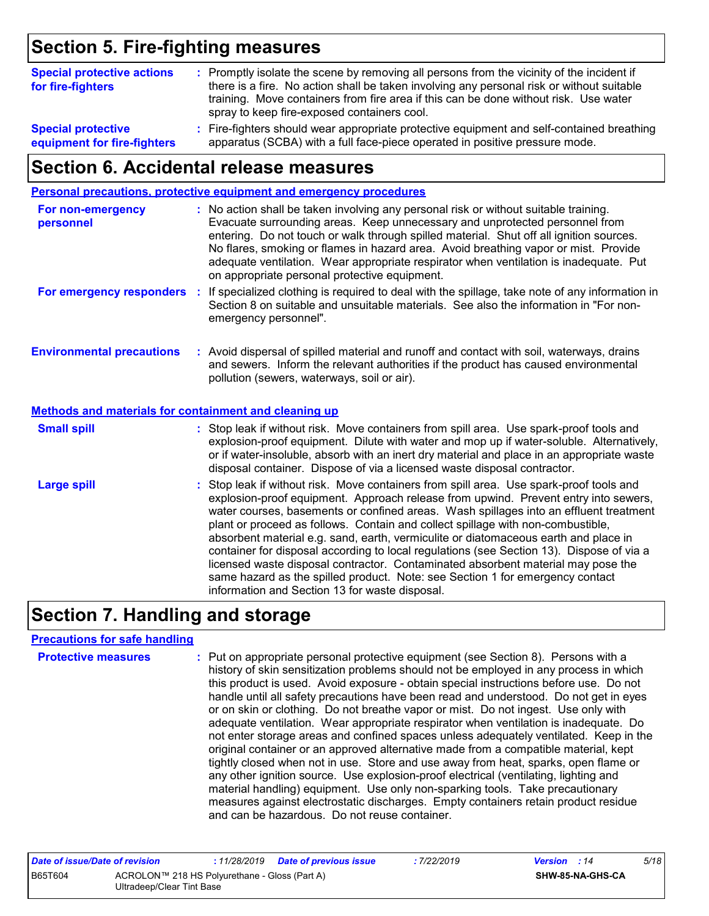## **Section 5. Fire-fighting measures**

| <b>Special protective actions</b><br>for fire-fighters | : Promptly isolate the scene by removing all persons from the vicinity of the incident if<br>there is a fire. No action shall be taken involving any personal risk or without suitable<br>training. Move containers from fire area if this can be done without risk. Use water<br>spray to keep fire-exposed containers cool. |
|--------------------------------------------------------|-------------------------------------------------------------------------------------------------------------------------------------------------------------------------------------------------------------------------------------------------------------------------------------------------------------------------------|
| <b>Special protective</b>                              | : Fire-fighters should wear appropriate protective equipment and self-contained breathing                                                                                                                                                                                                                                     |
| equipment for fire-fighters                            | apparatus (SCBA) with a full face-piece operated in positive pressure mode.                                                                                                                                                                                                                                                   |

### **Section 6. Accidental release measures**

|                                                       | Personal precautions, protective equipment and emergency procedures                                                                                                                                                                                                                                                                                                                                                                                                                                                                                                                                                                                                                                                                                                  |
|-------------------------------------------------------|----------------------------------------------------------------------------------------------------------------------------------------------------------------------------------------------------------------------------------------------------------------------------------------------------------------------------------------------------------------------------------------------------------------------------------------------------------------------------------------------------------------------------------------------------------------------------------------------------------------------------------------------------------------------------------------------------------------------------------------------------------------------|
| For non-emergency<br>personnel                        | : No action shall be taken involving any personal risk or without suitable training.<br>Evacuate surrounding areas. Keep unnecessary and unprotected personnel from<br>entering. Do not touch or walk through spilled material. Shut off all ignition sources.<br>No flares, smoking or flames in hazard area. Avoid breathing vapor or mist. Provide<br>adequate ventilation. Wear appropriate respirator when ventilation is inadequate. Put<br>on appropriate personal protective equipment.                                                                                                                                                                                                                                                                      |
|                                                       | For emergency responders : If specialized clothing is required to deal with the spillage, take note of any information in<br>Section 8 on suitable and unsuitable materials. See also the information in "For non-<br>emergency personnel".                                                                                                                                                                                                                                                                                                                                                                                                                                                                                                                          |
| <b>Environmental precautions</b>                      | : Avoid dispersal of spilled material and runoff and contact with soil, waterways, drains<br>and sewers. Inform the relevant authorities if the product has caused environmental<br>pollution (sewers, waterways, soil or air).                                                                                                                                                                                                                                                                                                                                                                                                                                                                                                                                      |
| Methods and materials for containment and cleaning up |                                                                                                                                                                                                                                                                                                                                                                                                                                                                                                                                                                                                                                                                                                                                                                      |
| <b>Small spill</b>                                    | : Stop leak if without risk. Move containers from spill area. Use spark-proof tools and<br>explosion-proof equipment. Dilute with water and mop up if water-soluble. Alternatively,<br>or if water-insoluble, absorb with an inert dry material and place in an appropriate waste<br>disposal container. Dispose of via a licensed waste disposal contractor.                                                                                                                                                                                                                                                                                                                                                                                                        |
| <b>Large spill</b>                                    | : Stop leak if without risk. Move containers from spill area. Use spark-proof tools and<br>explosion-proof equipment. Approach release from upwind. Prevent entry into sewers,<br>water courses, basements or confined areas. Wash spillages into an effluent treatment<br>plant or proceed as follows. Contain and collect spillage with non-combustible,<br>absorbent material e.g. sand, earth, vermiculite or diatomaceous earth and place in<br>container for disposal according to local regulations (see Section 13). Dispose of via a<br>licensed waste disposal contractor. Contaminated absorbent material may pose the<br>same hazard as the spilled product. Note: see Section 1 for emergency contact<br>information and Section 13 for waste disposal. |

## **Section 7. Handling and storage**

#### **Precautions for safe handling**

| <b>Protective measures</b> | : Put on appropriate personal protective equipment (see Section 8). Persons with a<br>history of skin sensitization problems should not be employed in any process in which<br>this product is used. Avoid exposure - obtain special instructions before use. Do not<br>handle until all safety precautions have been read and understood. Do not get in eyes<br>or on skin or clothing. Do not breathe vapor or mist. Do not ingest. Use only with<br>adequate ventilation. Wear appropriate respirator when ventilation is inadequate. Do<br>not enter storage areas and confined spaces unless adequately ventilated. Keep in the<br>original container or an approved alternative made from a compatible material, kept<br>tightly closed when not in use. Store and use away from heat, sparks, open flame or<br>any other ignition source. Use explosion-proof electrical (ventilating, lighting and |
|----------------------------|------------------------------------------------------------------------------------------------------------------------------------------------------------------------------------------------------------------------------------------------------------------------------------------------------------------------------------------------------------------------------------------------------------------------------------------------------------------------------------------------------------------------------------------------------------------------------------------------------------------------------------------------------------------------------------------------------------------------------------------------------------------------------------------------------------------------------------------------------------------------------------------------------------|
|                            | material handling) equipment. Use only non-sparking tools. Take precautionary<br>measures against electrostatic discharges. Empty containers retain product residue<br>and can be hazardous. Do not reuse container.                                                                                                                                                                                                                                                                                                                                                                                                                                                                                                                                                                                                                                                                                       |

| Date of issue/Date of revision |                                                                            |  | : 11/28/2019  Date of previous issue | 7/22/2019 | <b>Version</b> : 14 | 5/18             |  |
|--------------------------------|----------------------------------------------------------------------------|--|--------------------------------------|-----------|---------------------|------------------|--|
| B65T604                        | ACROLON™ 218 HS Polyurethane - Gloss (Part A)<br>Ultradeep/Clear Tint Base |  |                                      |           |                     | SHW-85-NA-GHS-CA |  |
|                                |                                                                            |  |                                      |           |                     |                  |  |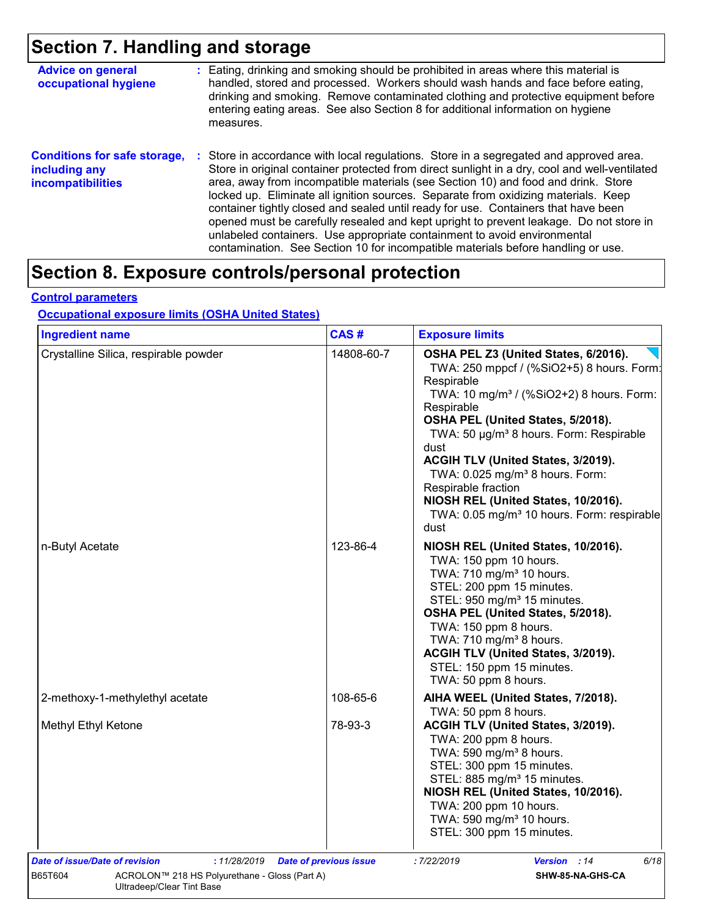## **Section 7. Handling and storage**

| <b>Advice on general</b><br>occupational hygiene                                 | : Eating, drinking and smoking should be prohibited in areas where this material is<br>handled, stored and processed. Workers should wash hands and face before eating,<br>drinking and smoking. Remove contaminated clothing and protective equipment before<br>entering eating areas. See also Section 8 for additional information on hygiene<br>measures.                                                                                                                                                                                                                                                                                                                                                          |
|----------------------------------------------------------------------------------|------------------------------------------------------------------------------------------------------------------------------------------------------------------------------------------------------------------------------------------------------------------------------------------------------------------------------------------------------------------------------------------------------------------------------------------------------------------------------------------------------------------------------------------------------------------------------------------------------------------------------------------------------------------------------------------------------------------------|
| <b>Conditions for safe storage,</b><br>including any<br><b>incompatibilities</b> | Store in accordance with local regulations. Store in a segregated and approved area.<br>÷.<br>Store in original container protected from direct sunlight in a dry, cool and well-ventilated<br>area, away from incompatible materials (see Section 10) and food and drink. Store<br>locked up. Eliminate all ignition sources. Separate from oxidizing materials. Keep<br>container tightly closed and sealed until ready for use. Containers that have been<br>opened must be carefully resealed and kept upright to prevent leakage. Do not store in<br>unlabeled containers. Use appropriate containment to avoid environmental<br>contamination. See Section 10 for incompatible materials before handling or use. |

## **Section 8. Exposure controls/personal protection**

#### **Control parameters**

### **Occupational exposure limits (OSHA United States)**

| <b>Ingredient name</b>                        | CAS#                          | <b>Exposure limits</b>                                                                                                                                                                                                                                                                                                                                                                                                                                                                         |
|-----------------------------------------------|-------------------------------|------------------------------------------------------------------------------------------------------------------------------------------------------------------------------------------------------------------------------------------------------------------------------------------------------------------------------------------------------------------------------------------------------------------------------------------------------------------------------------------------|
| Crystalline Silica, respirable powder         | 14808-60-7                    | OSHA PEL Z3 (United States, 6/2016).<br>TWA: 250 mppcf / (%SiO2+5) 8 hours. Form:<br>Respirable<br>TWA: 10 mg/m <sup>3</sup> / (%SiO2+2) 8 hours. Form:<br>Respirable<br>OSHA PEL (United States, 5/2018).<br>TWA: 50 µg/m <sup>3</sup> 8 hours. Form: Respirable<br>dust<br>ACGIH TLV (United States, 3/2019).<br>TWA: 0.025 mg/m <sup>3</sup> 8 hours. Form:<br>Respirable fraction<br>NIOSH REL (United States, 10/2016).<br>TWA: 0.05 mg/m <sup>3</sup> 10 hours. Form: respirable<br>dust |
| n-Butyl Acetate                               | 123-86-4                      | NIOSH REL (United States, 10/2016).<br>TWA: 150 ppm 10 hours.<br>TWA: 710 mg/m <sup>3</sup> 10 hours.<br>STEL: 200 ppm 15 minutes.<br>STEL: 950 mg/m <sup>3</sup> 15 minutes.<br>OSHA PEL (United States, 5/2018).<br>TWA: 150 ppm 8 hours.<br>TWA: 710 mg/m <sup>3</sup> 8 hours.<br>ACGIH TLV (United States, 3/2019).<br>STEL: 150 ppm 15 minutes.<br>TWA: 50 ppm 8 hours.                                                                                                                  |
| 2-methoxy-1-methylethyl acetate               | 108-65-6                      | AIHA WEEL (United States, 7/2018).<br>TWA: 50 ppm 8 hours.                                                                                                                                                                                                                                                                                                                                                                                                                                     |
| Methyl Ethyl Ketone                           | 78-93-3                       | ACGIH TLV (United States, 3/2019).<br>TWA: 200 ppm 8 hours.<br>TWA: 590 mg/m <sup>3</sup> 8 hours.<br>STEL: 300 ppm 15 minutes.<br>STEL: 885 mg/m <sup>3</sup> 15 minutes.<br>NIOSH REL (United States, 10/2016).<br>TWA: 200 ppm 10 hours.<br>TWA: 590 mg/m <sup>3</sup> 10 hours.<br>STEL: 300 ppm 15 minutes.                                                                                                                                                                               |
| Date of issue/Date of revision<br>:11/28/2019 | <b>Date of previous issue</b> | :7/22/2019<br><b>Version</b> : 14<br>6/18                                                                                                                                                                                                                                                                                                                                                                                                                                                      |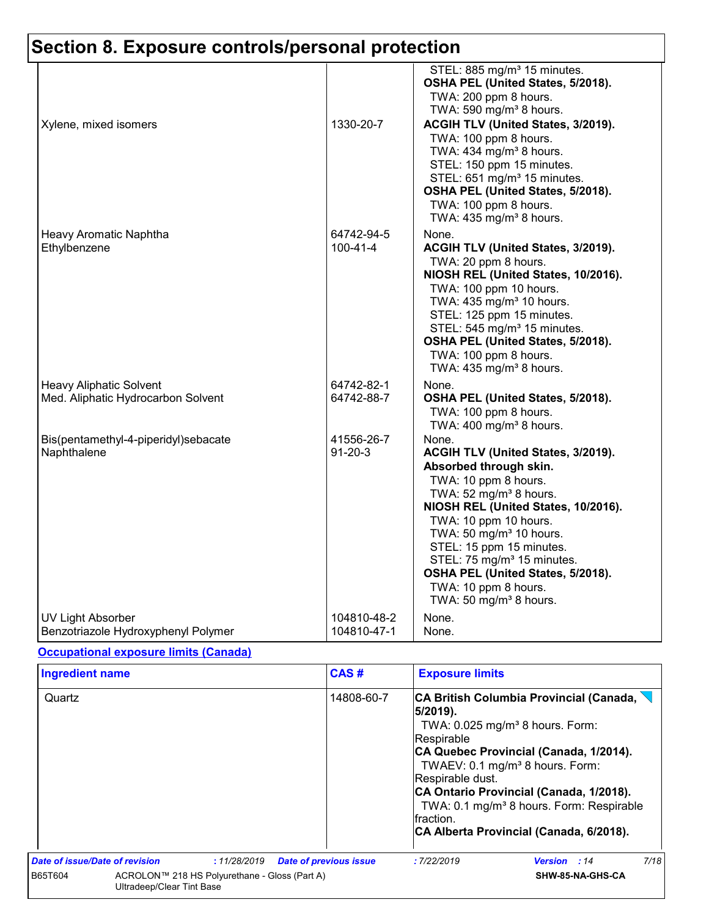| Xylene, mixed isomers                | 1330-20-7      | STEL: 885 mg/m <sup>3</sup> 15 minutes.<br>OSHA PEL (United States, 5/2018).<br>TWA: 200 ppm 8 hours.<br>TWA: 590 mg/m <sup>3</sup> 8 hours.<br>ACGIH TLV (United States, 3/2019).                                                        |
|--------------------------------------|----------------|-------------------------------------------------------------------------------------------------------------------------------------------------------------------------------------------------------------------------------------------|
|                                      |                | TWA: 100 ppm 8 hours.<br>TWA: 434 mg/m <sup>3</sup> 8 hours.<br>STEL: 150 ppm 15 minutes.<br>STEL: 651 mg/m <sup>3</sup> 15 minutes.<br>OSHA PEL (United States, 5/2018).<br>TWA: 100 ppm 8 hours.<br>TWA: 435 mg/m <sup>3</sup> 8 hours. |
| Heavy Aromatic Naphtha               | 64742-94-5     | None.                                                                                                                                                                                                                                     |
| Ethylbenzene                         | $100 - 41 - 4$ | ACGIH TLV (United States, 3/2019).                                                                                                                                                                                                        |
|                                      |                | TWA: 20 ppm 8 hours.                                                                                                                                                                                                                      |
|                                      |                | NIOSH REL (United States, 10/2016).                                                                                                                                                                                                       |
|                                      |                | TWA: 100 ppm 10 hours.<br>TWA: 435 mg/m <sup>3</sup> 10 hours.                                                                                                                                                                            |
|                                      |                | STEL: 125 ppm 15 minutes.                                                                                                                                                                                                                 |
|                                      |                | STEL: 545 mg/m <sup>3</sup> 15 minutes.                                                                                                                                                                                                   |
|                                      |                | OSHA PEL (United States, 5/2018).                                                                                                                                                                                                         |
|                                      |                | TWA: 100 ppm 8 hours.<br>TWA: 435 mg/m <sup>3</sup> 8 hours.                                                                                                                                                                              |
| <b>Heavy Aliphatic Solvent</b>       | 64742-82-1     | None.                                                                                                                                                                                                                                     |
| Med. Aliphatic Hydrocarbon Solvent   | 64742-88-7     | OSHA PEL (United States, 5/2018).                                                                                                                                                                                                         |
|                                      |                | TWA: 100 ppm 8 hours.<br>TWA: 400 mg/m <sup>3</sup> 8 hours.                                                                                                                                                                              |
| Bis(pentamethyl-4-piperidyl)sebacate | 41556-26-7     | None.                                                                                                                                                                                                                                     |
| Naphthalene                          | $91 - 20 - 3$  | ACGIH TLV (United States, 3/2019).                                                                                                                                                                                                        |
|                                      |                | Absorbed through skin.<br>TWA: 10 ppm 8 hours.                                                                                                                                                                                            |
|                                      |                | TWA: 52 mg/m <sup>3</sup> 8 hours.                                                                                                                                                                                                        |
|                                      |                | NIOSH REL (United States, 10/2016).                                                                                                                                                                                                       |
|                                      |                | TWA: 10 ppm 10 hours.                                                                                                                                                                                                                     |
|                                      |                | TWA: 50 mg/m <sup>3</sup> 10 hours.                                                                                                                                                                                                       |
|                                      |                | STEL: 15 ppm 15 minutes.<br>STEL: 75 mg/m <sup>3</sup> 15 minutes.                                                                                                                                                                        |
|                                      |                | OSHA PEL (United States, 5/2018).                                                                                                                                                                                                         |
|                                      |                | TWA: 10 ppm 8 hours.<br>TWA: 50 mg/m <sup>3</sup> 8 hours.                                                                                                                                                                                |
| <b>UV Light Absorber</b>             | 104810-48-2    | None.                                                                                                                                                                                                                                     |
| Benzotriazole Hydroxyphenyl Polymer  | 104810-47-1    | None.                                                                                                                                                                                                                                     |

#### **Occupational exposure limits (Canada)**

| <b>Ingredient name</b>                                                                                                                 | CAS#                          | <b>Exposure limits</b>                                  |                                                                                                                                                                                                                                                                                                                                             |      |
|----------------------------------------------------------------------------------------------------------------------------------------|-------------------------------|---------------------------------------------------------|---------------------------------------------------------------------------------------------------------------------------------------------------------------------------------------------------------------------------------------------------------------------------------------------------------------------------------------------|------|
| Quartz                                                                                                                                 | 14808-60-7                    | 5/2019).<br>Respirable<br>Respirable dust.<br>fraction. | CA British Columbia Provincial (Canada, $\setminus$<br>TWA: $0.025$ mg/m <sup>3</sup> 8 hours. Form:<br>CA Quebec Provincial (Canada, 1/2014).<br>TWAEV: 0.1 mg/m <sup>3</sup> 8 hours. Form:<br>CA Ontario Provincial (Canada, 1/2018).<br>TWA: 0.1 mg/m <sup>3</sup> 8 hours. Form: Respirable<br>CA Alberta Provincial (Canada, 6/2018). |      |
| Date of issue/Date of revision<br>:11/28/2019<br>B65T604<br>ACROLON™ 218 HS Polyurethane - Gloss (Part A)<br>Ultradeep/Clear Tint Base | <b>Date of previous issue</b> | : 7/22/2019                                             | <b>Version</b> : 14<br>SHW-85-NA-GHS-CA                                                                                                                                                                                                                                                                                                     | 7/18 |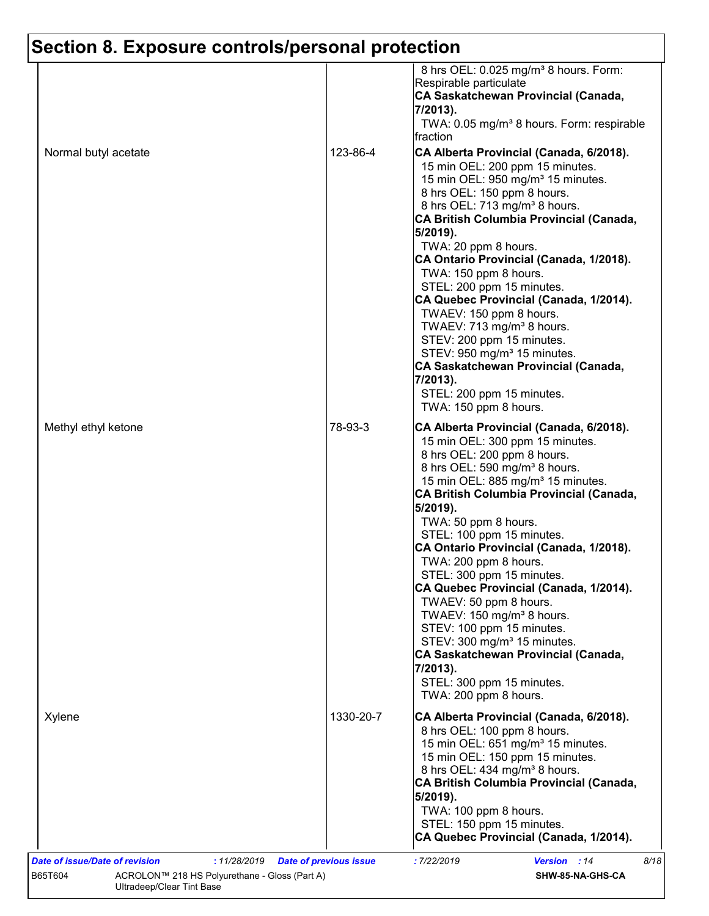|                      |           | 8 hrs OEL: 0.025 mg/m <sup>3</sup> 8 hours. Form:<br>Respirable particulate<br><b>CA Saskatchewan Provincial (Canada,</b><br>7/2013).<br>TWA: 0.05 mg/m <sup>3</sup> 8 hours. Form: respirable<br>Ifraction                                                                                                                                                                                                                                                                                                                                                                                                                                                                                                        |
|----------------------|-----------|--------------------------------------------------------------------------------------------------------------------------------------------------------------------------------------------------------------------------------------------------------------------------------------------------------------------------------------------------------------------------------------------------------------------------------------------------------------------------------------------------------------------------------------------------------------------------------------------------------------------------------------------------------------------------------------------------------------------|
| Normal butyl acetate | 123-86-4  | CA Alberta Provincial (Canada, 6/2018).<br>15 min OEL: 200 ppm 15 minutes.<br>15 min OEL: 950 mg/m <sup>3</sup> 15 minutes.<br>8 hrs OEL: 150 ppm 8 hours.<br>8 hrs OEL: 713 mg/m <sup>3</sup> 8 hours.<br>CA British Columbia Provincial (Canada,<br>5/2019).<br>TWA: 20 ppm 8 hours.<br>CA Ontario Provincial (Canada, 1/2018).<br>TWA: 150 ppm 8 hours.<br>STEL: 200 ppm 15 minutes.<br>CA Quebec Provincial (Canada, 1/2014).<br>TWAEV: 150 ppm 8 hours.<br>TWAEV: 713 mg/m <sup>3</sup> 8 hours.<br>STEV: 200 ppm 15 minutes.<br>STEV: 950 mg/m <sup>3</sup> 15 minutes.<br>CA Saskatchewan Provincial (Canada,<br>7/2013).<br>STEL: 200 ppm 15 minutes.<br>TWA: 150 ppm 8 hours.                             |
| Methyl ethyl ketone  | 78-93-3   | CA Alberta Provincial (Canada, 6/2018).<br>15 min OEL: 300 ppm 15 minutes.<br>8 hrs OEL: 200 ppm 8 hours.<br>8 hrs OEL: 590 mg/m <sup>3</sup> 8 hours.<br>15 min OEL: 885 mg/m <sup>3</sup> 15 minutes.<br>CA British Columbia Provincial (Canada,<br>5/2019).<br>TWA: 50 ppm 8 hours.<br>STEL: 100 ppm 15 minutes.<br>CA Ontario Provincial (Canada, 1/2018).<br>TWA: 200 ppm 8 hours.<br>STEL: 300 ppm 15 minutes.<br>CA Quebec Provincial (Canada, 1/2014).<br>TWAEV: 50 ppm 8 hours.<br>TWAEV: 150 mg/m <sup>3</sup> 8 hours.<br>STEV: 100 ppm 15 minutes.<br>STEV: 300 mg/m <sup>3</sup> 15 minutes.<br>CA Saskatchewan Provincial (Canada,<br>7/2013).<br>STEL: 300 ppm 15 minutes.<br>TWA: 200 ppm 8 hours. |
| Xylene               | 1330-20-7 | CA Alberta Provincial (Canada, 6/2018).<br>8 hrs OEL: 100 ppm 8 hours.<br>15 min OEL: 651 mg/m <sup>3</sup> 15 minutes.<br>15 min OEL: 150 ppm 15 minutes.<br>8 hrs OEL: 434 mg/m <sup>3</sup> 8 hours.<br>CA British Columbia Provincial (Canada,<br>5/2019).<br>TWA: 100 ppm 8 hours.<br>STEL: 150 ppm 15 minutes.<br>CA Quebec Provincial (Canada, 1/2014).                                                                                                                                                                                                                                                                                                                                                     |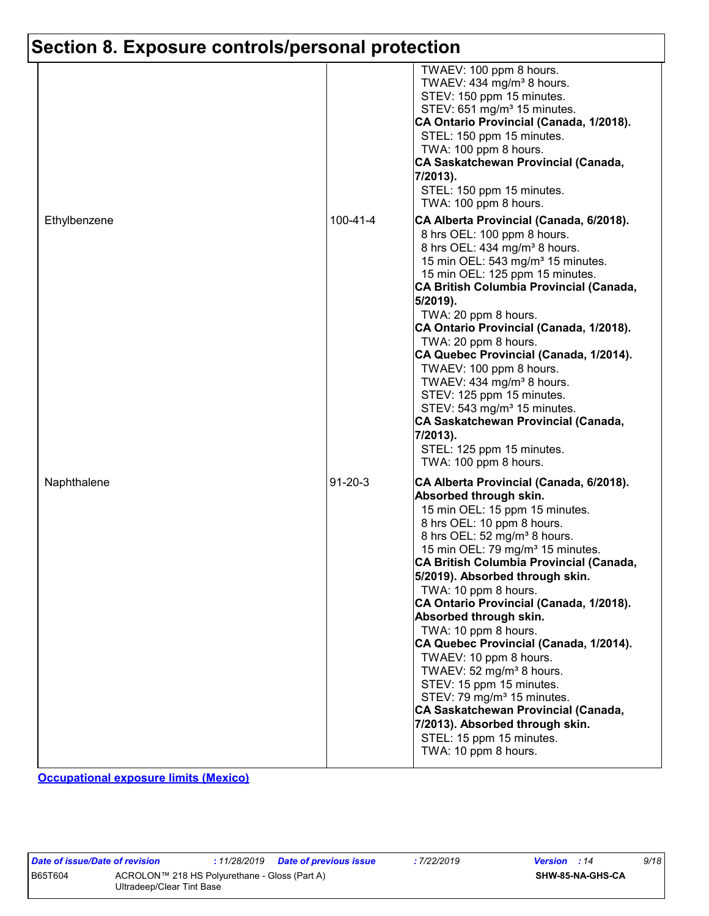|              |                | TWAEV: 100 ppm 8 hours.<br>TWAEV: 434 mg/m <sup>3</sup> 8 hours.<br>STEV: 150 ppm 15 minutes.<br>STEV: 651 mg/m <sup>3</sup> 15 minutes.<br>CA Ontario Provincial (Canada, 1/2018).<br>STEL: 150 ppm 15 minutes.<br>TWA: 100 ppm 8 hours.<br>CA Saskatchewan Provincial (Canada,<br>7/2013).<br>STEL: 150 ppm 15 minutes.<br>TWA: 100 ppm 8 hours.                                                                                                                                                                                                                                                                                                                                                                                                      |
|--------------|----------------|---------------------------------------------------------------------------------------------------------------------------------------------------------------------------------------------------------------------------------------------------------------------------------------------------------------------------------------------------------------------------------------------------------------------------------------------------------------------------------------------------------------------------------------------------------------------------------------------------------------------------------------------------------------------------------------------------------------------------------------------------------|
| Ethylbenzene | $100 - 41 - 4$ | CA Alberta Provincial (Canada, 6/2018).<br>8 hrs OEL: 100 ppm 8 hours.<br>8 hrs OEL: 434 mg/m <sup>3</sup> 8 hours.<br>15 min OEL: 543 mg/m <sup>3</sup> 15 minutes.<br>15 min OEL: 125 ppm 15 minutes.<br>CA British Columbia Provincial (Canada,<br>5/2019).<br>TWA: 20 ppm 8 hours.<br>CA Ontario Provincial (Canada, 1/2018).<br>TWA: 20 ppm 8 hours.<br>CA Quebec Provincial (Canada, 1/2014).<br>TWAEV: 100 ppm 8 hours.<br>TWAEV: 434 mg/m <sup>3</sup> 8 hours.<br>STEV: 125 ppm 15 minutes.<br>STEV: 543 mg/m <sup>3</sup> 15 minutes.<br>CA Saskatchewan Provincial (Canada,<br>7/2013).<br>STEL: 125 ppm 15 minutes.<br>TWA: 100 ppm 8 hours.                                                                                                |
| Naphthalene  | $91 - 20 - 3$  | CA Alberta Provincial (Canada, 6/2018).<br>Absorbed through skin.<br>15 min OEL: 15 ppm 15 minutes.<br>8 hrs OEL: 10 ppm 8 hours.<br>8 hrs OEL: 52 mg/m <sup>3</sup> 8 hours.<br>15 min OEL: 79 mg/m <sup>3</sup> 15 minutes.<br><b>CA British Columbia Provincial (Canada,</b><br>5/2019). Absorbed through skin.<br>TWA: 10 ppm 8 hours.<br>CA Ontario Provincial (Canada, 1/2018).<br>Absorbed through skin.<br>TWA: 10 ppm 8 hours.<br>CA Quebec Provincial (Canada, 1/2014).<br>TWAEV: 10 ppm 8 hours.<br>TWAEV: 52 mg/m <sup>3</sup> 8 hours.<br>STEV: 15 ppm 15 minutes.<br>STEV: 79 mg/m <sup>3</sup> 15 minutes.<br>CA Saskatchewan Provincial (Canada,<br>7/2013). Absorbed through skin.<br>STEL: 15 ppm 15 minutes.<br>TWA: 10 ppm 8 hours. |

**Occupational exposure limits (Mexico)**

| Date of issue/Date of revision                                                        |  |  | : 11/28/2019 Date of previous issue | : 7/22/2019      | <b>Version</b> : 14 | 9/18 |
|---------------------------------------------------------------------------------------|--|--|-------------------------------------|------------------|---------------------|------|
| ACROLON™ 218 HS Polyurethane - Gloss (Part A)<br>B65T604<br>Ultradeep/Clear Tint Base |  |  |                                     | SHW-85-NA-GHS-CA |                     |      |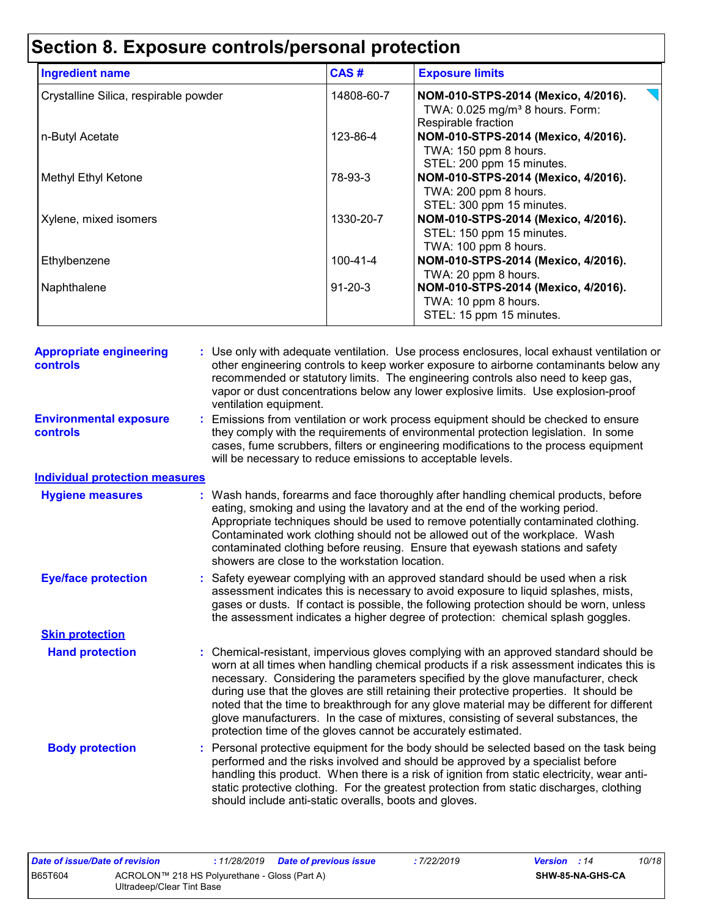| <b>Ingredient name</b>                | CAS#           | <b>Exposure limits</b>                                                                                    |
|---------------------------------------|----------------|-----------------------------------------------------------------------------------------------------------|
| Crystalline Silica, respirable powder | 14808-60-7     | NOM-010-STPS-2014 (Mexico, 4/2016).<br>TWA: 0.025 mg/m <sup>3</sup> 8 hours. Form:<br>Respirable fraction |
| n-Butyl Acetate                       | 123-86-4       | NOM-010-STPS-2014 (Mexico, 4/2016).<br>TWA: 150 ppm 8 hours.<br>STEL: 200 ppm 15 minutes.                 |
| <b>Methyl Ethyl Ketone</b>            | 78-93-3        | NOM-010-STPS-2014 (Mexico, 4/2016).<br>TWA: 200 ppm 8 hours.<br>STEL: 300 ppm 15 minutes.                 |
| Xylene, mixed isomers                 | 1330-20-7      | NOM-010-STPS-2014 (Mexico, 4/2016).<br>STEL: 150 ppm 15 minutes.<br>TWA: 100 ppm 8 hours.                 |
| Ethylbenzene                          | $100 - 41 - 4$ | NOM-010-STPS-2014 (Mexico, 4/2016).<br>TWA: 20 ppm 8 hours.                                               |
| Naphthalene                           | $91 - 20 - 3$  | NOM-010-STPS-2014 (Mexico, 4/2016).<br>TWA: 10 ppm 8 hours.<br>STEL: 15 ppm 15 minutes.                   |

| <b>Appropriate engineering</b><br>controls       |    | : Use only with adequate ventilation. Use process enclosures, local exhaust ventilation or<br>other engineering controls to keep worker exposure to airborne contaminants below any<br>recommended or statutory limits. The engineering controls also need to keep gas,<br>vapor or dust concentrations below any lower explosive limits. Use explosion-proof<br>ventilation equipment.                                                                                                                                                                                                                                |
|--------------------------------------------------|----|------------------------------------------------------------------------------------------------------------------------------------------------------------------------------------------------------------------------------------------------------------------------------------------------------------------------------------------------------------------------------------------------------------------------------------------------------------------------------------------------------------------------------------------------------------------------------------------------------------------------|
| <b>Environmental exposure</b><br><b>controls</b> | t. | Emissions from ventilation or work process equipment should be checked to ensure<br>they comply with the requirements of environmental protection legislation. In some<br>cases, fume scrubbers, filters or engineering modifications to the process equipment<br>will be necessary to reduce emissions to acceptable levels.                                                                                                                                                                                                                                                                                          |
| <b>Individual protection measures</b>            |    |                                                                                                                                                                                                                                                                                                                                                                                                                                                                                                                                                                                                                        |
| <b>Hygiene measures</b>                          |    | : Wash hands, forearms and face thoroughly after handling chemical products, before<br>eating, smoking and using the lavatory and at the end of the working period.<br>Appropriate techniques should be used to remove potentially contaminated clothing.<br>Contaminated work clothing should not be allowed out of the workplace. Wash<br>contaminated clothing before reusing. Ensure that eyewash stations and safety<br>showers are close to the workstation location.                                                                                                                                            |
| <b>Eye/face protection</b>                       | t. | Safety eyewear complying with an approved standard should be used when a risk<br>assessment indicates this is necessary to avoid exposure to liquid splashes, mists,<br>gases or dusts. If contact is possible, the following protection should be worn, unless<br>the assessment indicates a higher degree of protection: chemical splash goggles.                                                                                                                                                                                                                                                                    |
| <b>Skin protection</b>                           |    |                                                                                                                                                                                                                                                                                                                                                                                                                                                                                                                                                                                                                        |
| <b>Hand protection</b>                           |    | : Chemical-resistant, impervious gloves complying with an approved standard should be<br>worn at all times when handling chemical products if a risk assessment indicates this is<br>necessary. Considering the parameters specified by the glove manufacturer, check<br>during use that the gloves are still retaining their protective properties. It should be<br>noted that the time to breakthrough for any glove material may be different for different<br>glove manufacturers. In the case of mixtures, consisting of several substances, the<br>protection time of the gloves cannot be accurately estimated. |
| <b>Body protection</b>                           |    | : Personal protective equipment for the body should be selected based on the task being<br>performed and the risks involved and should be approved by a specialist before<br>handling this product. When there is a risk of ignition from static electricity, wear anti-<br>static protective clothing. For the greatest protection from static discharges, clothing<br>should include anti-static overalls, boots and gloves.                                                                                                                                                                                         |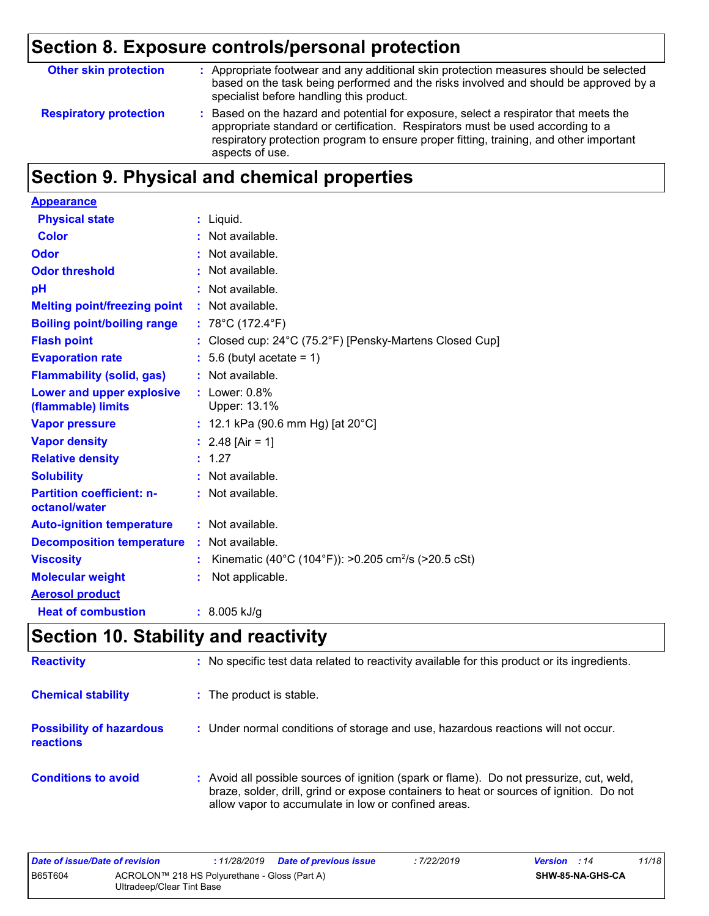| <b>Other skin protection</b>  | : Appropriate footwear and any additional skin protection measures should be selected<br>based on the task being performed and the risks involved and should be approved by a<br>specialist before handling this product.                                                           |
|-------------------------------|-------------------------------------------------------------------------------------------------------------------------------------------------------------------------------------------------------------------------------------------------------------------------------------|
| <b>Respiratory protection</b> | : Based on the hazard and potential for exposure, select a respirator that meets the<br>appropriate standard or certification. Respirators must be used according to a<br>respiratory protection program to ensure proper fitting, training, and other important<br>aspects of use. |

## **Section 9. Physical and chemical properties**

| <b>Appearance</b>                                 |    |                                                                 |
|---------------------------------------------------|----|-----------------------------------------------------------------|
| <b>Physical state</b>                             | ÷. | Liquid.                                                         |
| <b>Color</b>                                      |    | Not available.                                                  |
| Odor                                              |    | Not available.                                                  |
| <b>Odor threshold</b>                             |    | Not available.                                                  |
| рH                                                |    | Not available.                                                  |
| <b>Melting point/freezing point</b>               |    | : Not available.                                                |
| <b>Boiling point/boiling range</b>                |    | : $78^{\circ}$ C (172.4 $^{\circ}$ F)                           |
| <b>Flash point</b>                                |    | Closed cup: 24°C (75.2°F) [Pensky-Martens Closed Cup]           |
| <b>Evaporation rate</b>                           |    | 5.6 (butyl acetate = $1$ )                                      |
| <b>Flammability (solid, gas)</b>                  |    | Not available.                                                  |
| Lower and upper explosive<br>(flammable) limits   |    | $:$ Lower: $0.8\%$<br>Upper: 13.1%                              |
| <b>Vapor pressure</b>                             |    | : 12.1 kPa (90.6 mm Hg) [at 20 $^{\circ}$ C]                    |
| <b>Vapor density</b>                              |    | : $2.48$ [Air = 1]                                              |
| <b>Relative density</b>                           |    | : 1.27                                                          |
| <b>Solubility</b>                                 |    | Not available.                                                  |
| <b>Partition coefficient: n-</b><br>octanol/water |    | $:$ Not available.                                              |
| <b>Auto-ignition temperature</b>                  |    | : Not available.                                                |
| <b>Decomposition temperature</b>                  |    | : Not available.                                                |
| <b>Viscosity</b>                                  |    | Kinematic (40°C (104°F)): >0.205 cm <sup>2</sup> /s (>20.5 cSt) |
| <b>Molecular weight</b>                           | ÷. | Not applicable.                                                 |
| <b>Aerosol product</b>                            |    |                                                                 |
| <b>Heat of combustion</b>                         |    | $: 8.005$ kJ/g                                                  |

## **Section 10. Stability and reactivity**

| <b>Reactivity</b>                            | : No specific test data related to reactivity available for this product or its ingredients.                                                                                                                                               |
|----------------------------------------------|--------------------------------------------------------------------------------------------------------------------------------------------------------------------------------------------------------------------------------------------|
| <b>Chemical stability</b>                    | : The product is stable.                                                                                                                                                                                                                   |
| <b>Possibility of hazardous</b><br>reactions | : Under normal conditions of storage and use, hazardous reactions will not occur.                                                                                                                                                          |
| <b>Conditions to avoid</b>                   | : Avoid all possible sources of ignition (spark or flame). Do not pressurize, cut, weld,<br>braze, solder, drill, grind or expose containers to heat or sources of ignition. Do not<br>allow vapor to accumulate in low or confined areas. |

| Date of issue/Date of revision |                                                                            | : 11/28/2019 Date of previous issue | :7/22/2019 | <b>Version</b> : 14 |                         | 11/18 |
|--------------------------------|----------------------------------------------------------------------------|-------------------------------------|------------|---------------------|-------------------------|-------|
| <b>B65T604</b>                 | ACROLON™ 218 HS Polyurethane - Gloss (Part A)<br>Ultradeep/Clear Tint Base |                                     |            |                     | <b>SHW-85-NA-GHS-CA</b> |       |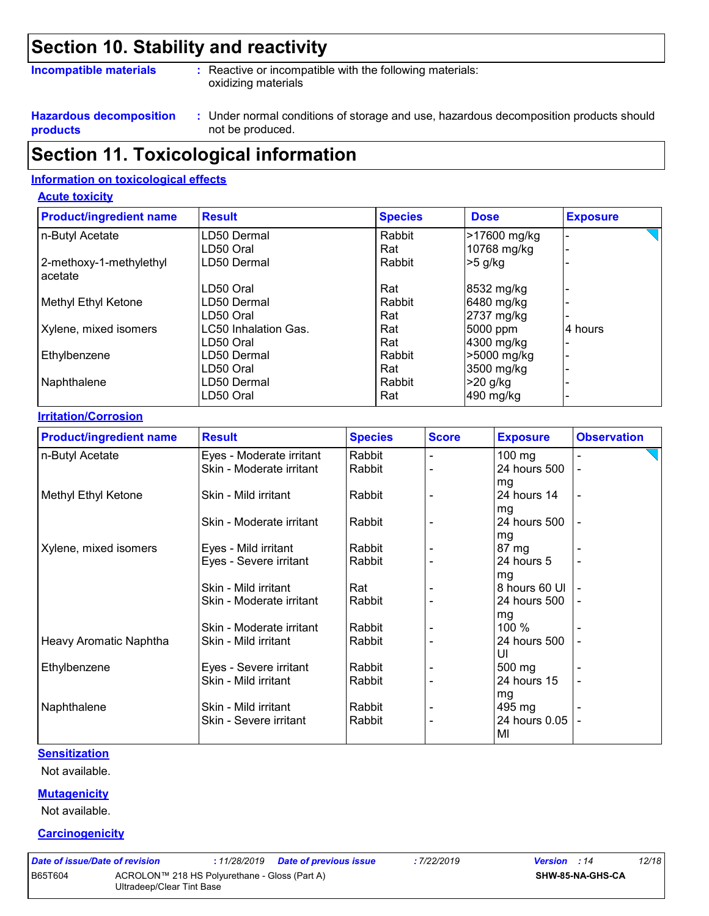### **Section 10. Stability and reactivity**

#### **Incompatible materials :**

: Reactive or incompatible with the following materials: oxidizing materials

**Hazardous decomposition products**

Under normal conditions of storage and use, hazardous decomposition products should **:** not be produced.

### **Section 11. Toxicological information**

#### **Information on toxicological effects**

#### **Acute toxicity**

| <b>Product/ingredient name</b>     | <b>Result</b>        | <b>Species</b> | <b>Dose</b>  | <b>Exposure</b> |
|------------------------------------|----------------------|----------------|--------------|-----------------|
| n-Butyl Acetate                    | LD50 Dermal          | Rabbit         | >17600 mg/kg |                 |
|                                    | LD50 Oral            | Rat            | 10768 mg/kg  |                 |
| 2-methoxy-1-methylethyl<br>acetate | LD50 Dermal          | Rabbit         | $>5$ g/kg    |                 |
|                                    | LD50 Oral            | Rat            | 8532 mg/kg   |                 |
| Methyl Ethyl Ketone                | LD50 Dermal          | Rabbit         | 6480 mg/kg   |                 |
|                                    | LD50 Oral            | Rat            | 2737 mg/kg   |                 |
| Xylene, mixed isomers              | LC50 Inhalation Gas. | Rat            | 5000 ppm     | 4 hours         |
|                                    | LD50 Oral            | Rat            | 4300 mg/kg   |                 |
| Ethylbenzene                       | LD50 Dermal          | Rabbit         | >5000 mg/kg  |                 |
|                                    | LD50 Oral            | Rat            | 3500 mg/kg   |                 |
| Naphthalene                        | LD50 Dermal          | Rabbit         | $>20$ g/kg   |                 |
|                                    | LD50 Oral            | Rat            | 490 mg/kg    |                 |

#### **Irritation/Corrosion**

| <b>Product/ingredient name</b> | <b>Result</b>            | <b>Species</b> | <b>Score</b> | <b>Exposure</b> | <b>Observation</b> |
|--------------------------------|--------------------------|----------------|--------------|-----------------|--------------------|
| n-Butyl Acetate                | Eyes - Moderate irritant | Rabbit         |              | $100$ mg        |                    |
|                                | Skin - Moderate irritant | Rabbit         |              | 24 hours 500    |                    |
|                                |                          |                |              | mg              |                    |
| Methyl Ethyl Ketone            | Skin - Mild irritant     | Rabbit         |              | 24 hours 14     |                    |
|                                |                          |                |              | mg              |                    |
|                                | Skin - Moderate irritant | Rabbit         |              | 24 hours 500    |                    |
|                                |                          |                |              | mg              |                    |
| Xylene, mixed isomers          | Eyes - Mild irritant     | Rabbit         |              | 87 mg           |                    |
|                                | Eyes - Severe irritant   | Rabbit         |              | 24 hours 5      |                    |
|                                |                          |                |              | mg              |                    |
|                                | Skin - Mild irritant     | Rat            |              | 8 hours 60 UI   |                    |
|                                | Skin - Moderate irritant | Rabbit         |              | 24 hours 500    |                    |
|                                |                          |                |              | mg              |                    |
|                                | Skin - Moderate irritant | Rabbit         |              | 100 %           |                    |
| <b>Heavy Aromatic Naphtha</b>  | Skin - Mild irritant     | Rabbit         |              | 24 hours 500    |                    |
|                                |                          |                |              | UI              |                    |
| Ethylbenzene                   | Eyes - Severe irritant   | Rabbit         |              | 500 mg          |                    |
|                                | Skin - Mild irritant     | Rabbit         |              | 24 hours 15     |                    |
|                                |                          |                |              | mg              |                    |
| Naphthalene                    | Skin - Mild irritant     | Rabbit         |              | 495 mg          |                    |
|                                | Skin - Severe irritant   | Rabbit         |              | 24 hours 0.05   |                    |
|                                |                          |                |              | MI              |                    |

#### **Sensitization**

Not available.

#### **Mutagenicity**

Not available.

#### **Carcinogenicity**

| Date of issue/Date of revision |                                               | :11/28/2019 | <b>Date of pre</b> |
|--------------------------------|-----------------------------------------------|-------------|--------------------|
| B65T604                        | ACROLON™ 218 HS Polyurethane - Gloss (Part A) |             |                    |
|                                | Ultradeep/Clear Tint Base                     |             |                    |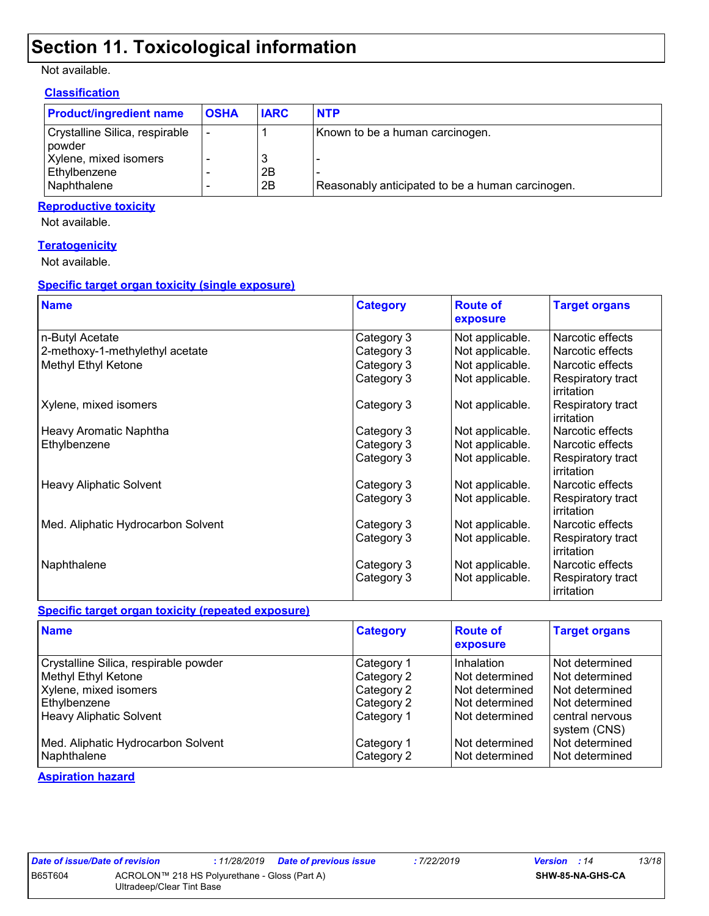### **Section 11. Toxicological information**

#### Not available.

#### **Classification**

| <b>Product/ingredient name</b>                    | <b>OSHA</b> | <b>IARC</b> | <b>NTP</b>                                       |
|---------------------------------------------------|-------------|-------------|--------------------------------------------------|
| Crystalline Silica, respirable<br><i>I</i> powder |             |             | Known to be a human carcinogen.                  |
| Xylene, mixed isomers                             |             | 3           |                                                  |
| Ethylbenzene                                      |             | 2Β          |                                                  |
| Naphthalene                                       |             | 2B          | Reasonably anticipated to be a human carcinogen. |

#### **Reproductive toxicity**

Not available.

#### **Teratogenicity**

Not available.

#### **Specific target organ toxicity (single exposure)**

| <b>Name</b>                        | <b>Category</b> | <b>Route of</b><br>exposure | <b>Target organs</b>            |
|------------------------------------|-----------------|-----------------------------|---------------------------------|
| n-Butyl Acetate                    | Category 3      | Not applicable.             | Narcotic effects                |
| 2-methoxy-1-methylethyl acetate    | Category 3      | Not applicable.             | Narcotic effects                |
| Methyl Ethyl Ketone                | Category 3      | Not applicable.             | Narcotic effects                |
|                                    | Category 3      | Not applicable.             | Respiratory tract<br>irritation |
| Xylene, mixed isomers              | Category 3      | Not applicable.             | Respiratory tract<br>irritation |
| Heavy Aromatic Naphtha             | Category 3      | Not applicable.             | Narcotic effects                |
| Ethylbenzene                       | Category 3      | Not applicable.             | Narcotic effects                |
|                                    | Category 3      | Not applicable.             | Respiratory tract<br>irritation |
| <b>Heavy Aliphatic Solvent</b>     | Category 3      | Not applicable.             | Narcotic effects                |
|                                    | Category 3      | Not applicable.             | Respiratory tract<br>irritation |
| Med. Aliphatic Hydrocarbon Solvent | Category 3      | Not applicable.             | Narcotic effects                |
|                                    | Category 3      | Not applicable.             | Respiratory tract<br>irritation |
| Naphthalene                        | Category 3      | Not applicable.             | Narcotic effects                |
|                                    | Category 3      | Not applicable.             | Respiratory tract<br>irritation |

#### **Specific target organ toxicity (repeated exposure)**

| <b>Name</b>                                                                                                                             | <b>Category</b>                                                    | <b>Route of</b><br>exposure                                                        | <b>Target organs</b>                                                                                    |
|-----------------------------------------------------------------------------------------------------------------------------------------|--------------------------------------------------------------------|------------------------------------------------------------------------------------|---------------------------------------------------------------------------------------------------------|
| Crystalline Silica, respirable powder<br>Methyl Ethyl Ketone<br>Xylene, mixed isomers<br>Ethylbenzene<br><b>Heavy Aliphatic Solvent</b> | Category 1<br>Category 2<br>Category 2<br>Category 2<br>Category 1 | Inhalation<br>Not determined<br>Not determined<br>Not determined<br>Not determined | Not determined<br>Not determined<br>Not determined<br>Not determined<br>central nervous<br>system (CNS) |
| Med. Aliphatic Hydrocarbon Solvent<br>Naphthalene                                                                                       | Category 1<br>Category 2                                           | Not determined<br>Not determined                                                   | Not determined<br>Not determined                                                                        |

**Aspiration hazard**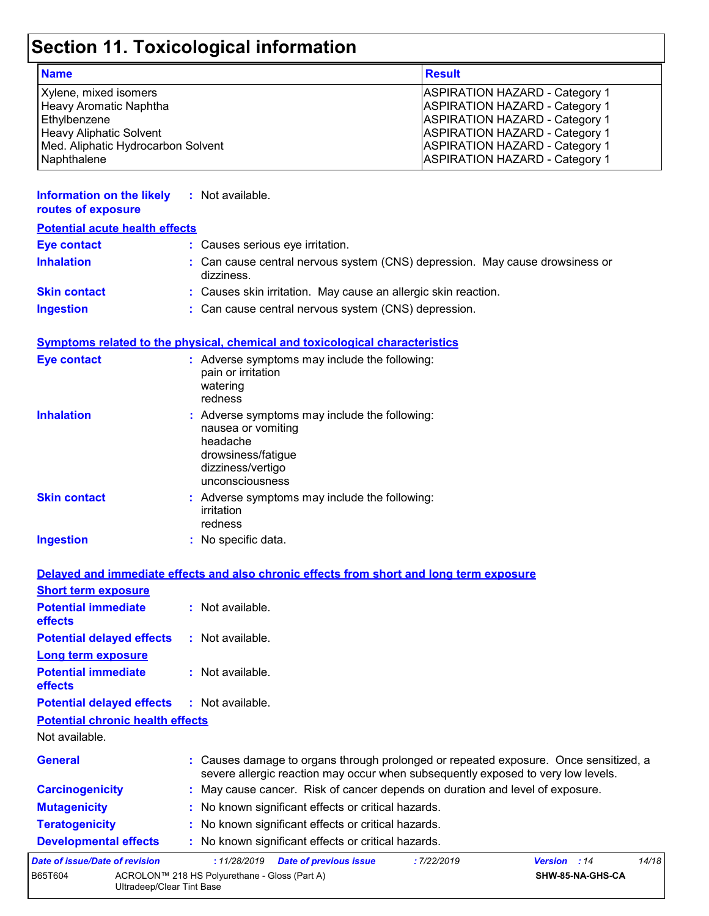## **Section 11. Toxicological information**

| <b>Name</b>                        | <b>Result</b>                         |
|------------------------------------|---------------------------------------|
| Xylene, mixed isomers              | <b>ASPIRATION HAZARD - Category 1</b> |
| Heavy Aromatic Naphtha             | <b>ASPIRATION HAZARD - Category 1</b> |
| Ethylbenzene                       | <b>ASPIRATION HAZARD - Category 1</b> |
| <b>Heavy Aliphatic Solvent</b>     | <b>ASPIRATION HAZARD - Category 1</b> |
| Med. Aliphatic Hydrocarbon Solvent | <b>ASPIRATION HAZARD - Category 1</b> |
| Naphthalene                        | <b>ASPIRATION HAZARD - Category 1</b> |

| <b>Information on the likely</b><br>routes of exposure | : Not available.                                                                                                                                                         |
|--------------------------------------------------------|--------------------------------------------------------------------------------------------------------------------------------------------------------------------------|
| <b>Potential acute health effects</b>                  |                                                                                                                                                                          |
| <b>Eye contact</b>                                     | : Causes serious eye irritation.                                                                                                                                         |
| <b>Inhalation</b>                                      | : Can cause central nervous system (CNS) depression. May cause drowsiness or<br>dizziness.                                                                               |
| <b>Skin contact</b>                                    | : Causes skin irritation. May cause an allergic skin reaction.                                                                                                           |
| <b>Ingestion</b>                                       | : Can cause central nervous system (CNS) depression.                                                                                                                     |
|                                                        | Symptoms related to the physical, chemical and toxicological characteristics                                                                                             |
| <b>Eye contact</b>                                     | : Adverse symptoms may include the following:<br>pain or irritation<br>watering<br>redness                                                                               |
| <b>Inhalation</b>                                      | : Adverse symptoms may include the following:<br>nausea or vomiting<br>headache<br>drowsiness/fatigue<br>dizziness/vertigo<br>unconsciousness                            |
| <b>Skin contact</b>                                    | : Adverse symptoms may include the following:<br>irritation<br>redness                                                                                                   |
| <b>Ingestion</b>                                       | : No specific data.                                                                                                                                                      |
|                                                        | Delayed and immediate effects and also chronic effects from short and long term exposure                                                                                 |
| <b>Short term exposure</b>                             |                                                                                                                                                                          |
| <b>Potential immediate</b><br>effects                  | : Not available.                                                                                                                                                         |
| <b>Potential delayed effects</b>                       | : Not available.                                                                                                                                                         |
| <b>Long term exposure</b>                              |                                                                                                                                                                          |
| <b>Potential immediate</b><br>effects                  | : Not available.                                                                                                                                                         |
| <b>Potential delayed effects</b>                       | : Not available.                                                                                                                                                         |
| <b>Potential chronic health effects</b>                |                                                                                                                                                                          |
| Not available.                                         |                                                                                                                                                                          |
| <b>General</b>                                         | : Causes damage to organs through prolonged or repeated exposure. Once sensitized, a<br>severe allergic reaction may occur when subsequently exposed to very low levels. |
| <b>Carcinogenicity</b>                                 | : May cause cancer. Risk of cancer depends on duration and level of exposure.                                                                                            |
| <b>Mutagenicity</b>                                    | : No known significant effects or critical hazards.                                                                                                                      |

- **Teratogenicity :** No known significant effects or critical hazards.
- **Developmental effects :** No known significant effects or critical hazards.

| <b>Developmental chects</b>    |                                                                            | . TWO KITOWIT SIGHTIICAHTE CHECLS OF CHILICAL HAZARUS. |            |                     |  |       |
|--------------------------------|----------------------------------------------------------------------------|--------------------------------------------------------|------------|---------------------|--|-------|
| Date of issue/Date of revision |                                                                            | : 11/28/2019 Date of previous issue                    | :7/22/2019 | <b>Version</b> : 14 |  | 14/18 |
| B65T604                        | ACROLON™ 218 HS Polyurethane - Gloss (Part A)<br>Ultradeep/Clear Tint Base |                                                        |            | SHW-85-NA-GHS-CA    |  |       |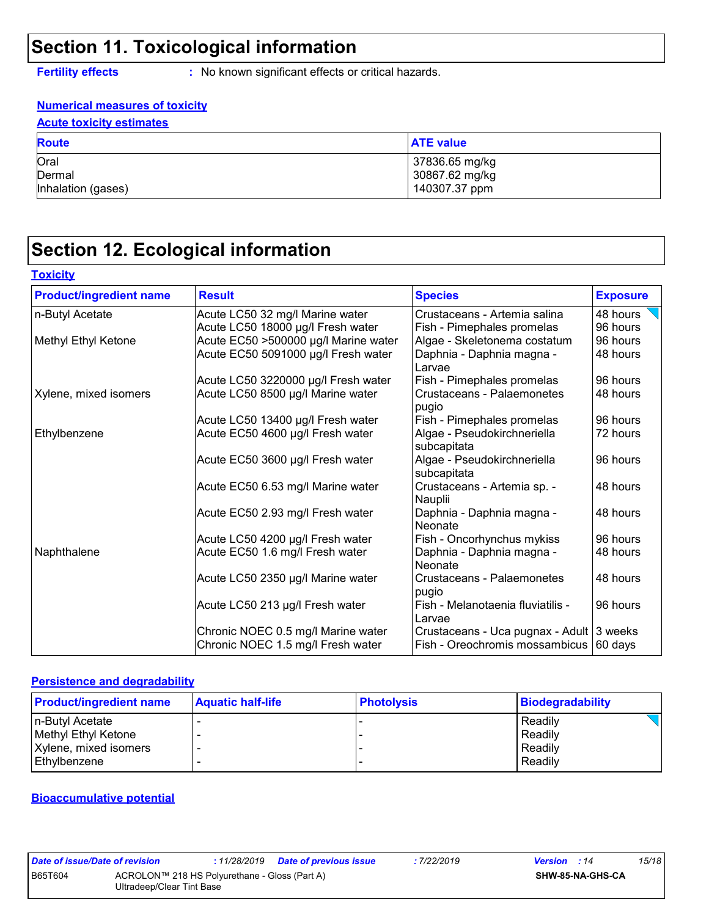### **Section 11. Toxicological information**

**Toxicity**

**Fertility effects :** No known significant effects or critical hazards.

#### **Numerical measures of toxicity Acute toxicity estimates**

| <u>I loato toxiony oothingtoo</u>    |                                                   |  |  |  |  |  |  |
|--------------------------------------|---------------------------------------------------|--|--|--|--|--|--|
| <b>Route</b>                         | <b>ATE value</b>                                  |  |  |  |  |  |  |
| Oral<br>Dermal<br>Inhalation (gases) | 37836.65 mg/kg<br>30867.62 mg/kg<br>140307.37 ppm |  |  |  |  |  |  |

## **Section 12. Ecological information**

| <b>Product/ingredient name</b> | <b>Result</b>                        | <b>Species</b>                              | <b>Exposure</b> |
|--------------------------------|--------------------------------------|---------------------------------------------|-----------------|
| n-Butyl Acetate                | Acute LC50 32 mg/l Marine water      | Crustaceans - Artemia salina                | 48 hours        |
|                                | Acute LC50 18000 µg/l Fresh water    | Fish - Pimephales promelas                  | 96 hours        |
| Methyl Ethyl Ketone            | Acute EC50 >500000 µg/l Marine water | Algae - Skeletonema costatum                | 96 hours        |
|                                | Acute EC50 5091000 µg/l Fresh water  | Daphnia - Daphnia magna -<br>Larvae         | 48 hours        |
|                                | Acute LC50 3220000 µg/l Fresh water  | Fish - Pimephales promelas                  | 96 hours        |
| Xylene, mixed isomers          | Acute LC50 8500 µg/l Marine water    | Crustaceans - Palaemonetes<br>pugio         | 48 hours        |
|                                | Acute LC50 13400 µg/l Fresh water    | Fish - Pimephales promelas                  | 96 hours        |
| Ethylbenzene                   | Acute EC50 4600 µg/l Fresh water     | Algae - Pseudokirchneriella<br>subcapitata  | 72 hours        |
|                                | Acute EC50 3600 µg/l Fresh water     | Algae - Pseudokirchneriella<br>subcapitata  | 96 hours        |
|                                | Acute EC50 6.53 mg/l Marine water    | Crustaceans - Artemia sp. -<br>Nauplii      | 48 hours        |
|                                | Acute EC50 2.93 mg/l Fresh water     | Daphnia - Daphnia magna -<br>Neonate        | 48 hours        |
|                                | Acute LC50 4200 µg/l Fresh water     | Fish - Oncorhynchus mykiss                  | 96 hours        |
| Naphthalene                    | Acute EC50 1.6 mg/l Fresh water      | Daphnia - Daphnia magna -<br><b>Neonate</b> | 48 hours        |
|                                | Acute LC50 2350 µg/l Marine water    | Crustaceans - Palaemonetes<br>pugio         | 48 hours        |
|                                | Acute LC50 213 µg/l Fresh water      | Fish - Melanotaenia fluviatilis -<br>Larvae | 96 hours        |
|                                | Chronic NOEC 0.5 mg/l Marine water   | Crustaceans - Uca pugnax - Adult 3 weeks    |                 |
|                                | Chronic NOEC 1.5 mg/l Fresh water    | Fish - Oreochromis mossambicus              | 60 days         |

#### **Persistence and degradability**

| <b>Product/ingredient name</b> | <b>Aquatic half-life</b> | <b>Photolysis</b> | Biodegradability |
|--------------------------------|--------------------------|-------------------|------------------|
| In-Butyl Acetate               |                          |                   | Readily          |
| Methyl Ethyl Ketone            |                          |                   | Readily          |
| Xylene, mixed isomers          |                          |                   | Readily          |
| Ethylbenzene                   |                          |                   | Readily          |

#### **Bioaccumulative potential**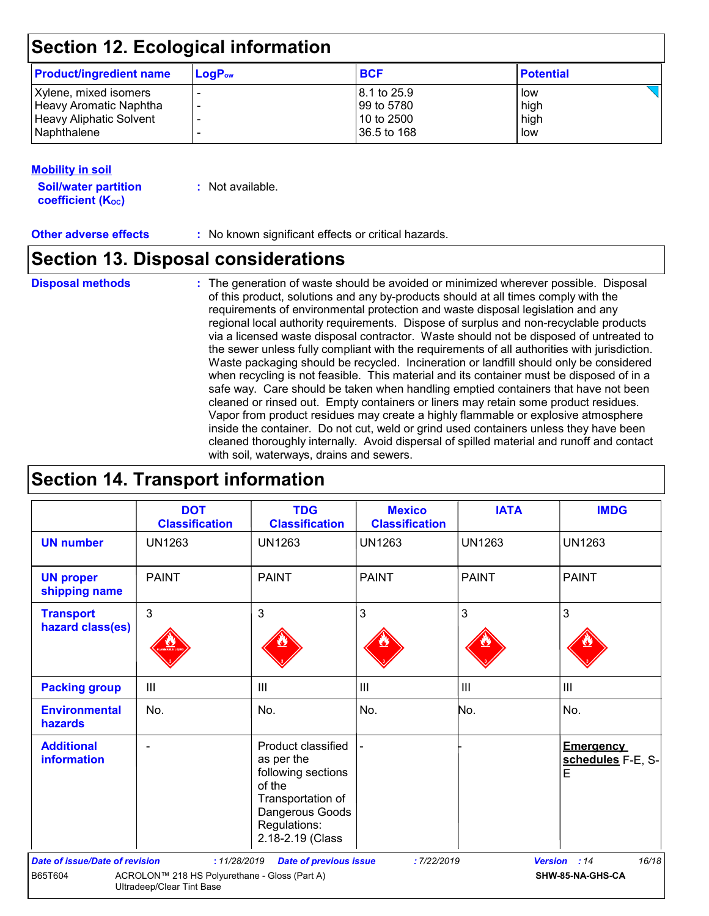## **Section 12. Ecological information**

| <b>Product/ingredient name</b> | $LogP_{ow}$ | <b>BCF</b>   | <b>Potential</b> |
|--------------------------------|-------------|--------------|------------------|
| Xylene, mixed isomers          |             | 18.1 to 25.9 | low              |
| Heavy Aromatic Naphtha         |             | l 99 to 5780 | high             |
| <b>Heavy Aliphatic Solvent</b> |             | 10 to 2500   | high             |
| <b>Naphthalene</b>             |             | 36.5 to 168  | low              |

#### **Mobility in soil**

**Soil/water partition coefficient (K**<sup>oc</sup>)

**:** Not available.

**Other adverse effects** : No known significant effects or critical hazards.

### **Section 13. Disposal considerations**

The generation of waste should be avoided or minimized wherever possible. Disposal of this product, solutions and any by-products should at all times comply with the requirements of environmental protection and waste disposal legislation and any regional local authority requirements. Dispose of surplus and non-recyclable products via a licensed waste disposal contractor. Waste should not be disposed of untreated to the sewer unless fully compliant with the requirements of all authorities with jurisdiction. Waste packaging should be recycled. Incineration or landfill should only be considered when recycling is not feasible. This material and its container must be disposed of in a safe way. Care should be taken when handling emptied containers that have not been cleaned or rinsed out. Empty containers or liners may retain some product residues. Vapor from product residues may create a highly flammable or explosive atmosphere inside the container. Do not cut, weld or grind used containers unless they have been cleaned thoroughly internally. Avoid dispersal of spilled material and runoff and contact with soil, waterways, drains and sewers. **Disposal methods :**

### **Section 14. Transport information**

|                                       | <b>DOT</b><br><b>Classification</b>                                        | <b>TDG</b><br><b>Classification</b>                                                                                                          | <b>Mexico</b><br><b>Classification</b> | <b>IATA</b>    | <b>IMDG</b>                                |
|---------------------------------------|----------------------------------------------------------------------------|----------------------------------------------------------------------------------------------------------------------------------------------|----------------------------------------|----------------|--------------------------------------------|
| <b>UN number</b>                      | <b>UN1263</b>                                                              | <b>UN1263</b>                                                                                                                                | <b>UN1263</b>                          | <b>UN1263</b>  | <b>UN1263</b>                              |
| <b>UN proper</b><br>shipping name     | <b>PAINT</b>                                                               | <b>PAINT</b>                                                                                                                                 | <b>PAINT</b>                           | <b>PAINT</b>   | <b>PAINT</b>                               |
| <b>Transport</b><br>hazard class(es)  | 3                                                                          | $\mathbf{3}$                                                                                                                                 | 3                                      | 3              | 3                                          |
| <b>Packing group</b>                  | $\mathbf{III}$                                                             | $\mathbf{III}$                                                                                                                               | III                                    | $\mathbf{III}$ | $\mathbf{III}$                             |
| <b>Environmental</b><br>hazards       | No.                                                                        | No.                                                                                                                                          | No.                                    | No.            | No.                                        |
| <b>Additional</b><br>information      |                                                                            | Product classified<br>as per the<br>following sections<br>of the<br>Transportation of<br>Dangerous Goods<br>Regulations:<br>2.18-2.19 (Class |                                        |                | <b>Emergency</b><br>schedules F-E, S-<br>E |
| <b>Date of issue/Date of revision</b> | : 11/28/2019                                                               | <b>Date of previous issue</b>                                                                                                                | :7/22/2019                             |                | 16/18<br>Version : 14                      |
| B65T604                               | ACROLON™ 218 HS Polyurethane - Gloss (Part A)<br>Ultradeep/Clear Tint Base |                                                                                                                                              |                                        |                | SHW-85-NA-GHS-CA                           |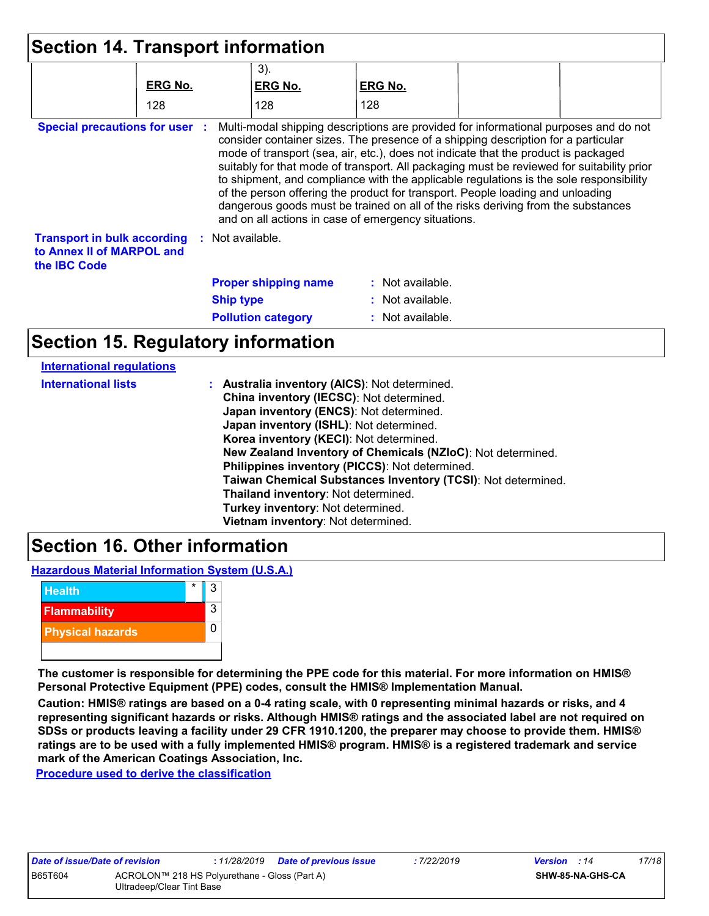|                                                                                        |                  | $3)$ .                                                                                                                                                                                                                                                               |                    |                                                                                        |
|----------------------------------------------------------------------------------------|------------------|----------------------------------------------------------------------------------------------------------------------------------------------------------------------------------------------------------------------------------------------------------------------|--------------------|----------------------------------------------------------------------------------------|
|                                                                                        | <b>ERG No.</b>   | <b>ERG No.</b>                                                                                                                                                                                                                                                       | <b>ERG No.</b>     |                                                                                        |
|                                                                                        | 128              | 128                                                                                                                                                                                                                                                                  | 128                |                                                                                        |
|                                                                                        |                  | consider container sizes. The presence of a shipping description for a particular<br>mode of transport (sea, air, etc.), does not indicate that the product is packaged<br>suitably for that mode of transport. All packaging must be reviewed for suitability prior |                    |                                                                                        |
|                                                                                        |                  | of the person offering the product for transport. People loading and unloading<br>dangerous goods must be trained on all of the risks deriving from the substances                                                                                                   |                    | to shipment, and compliance with the applicable regulations is the sole responsibility |
|                                                                                        | : Not available. | and on all actions in case of emergency situations.                                                                                                                                                                                                                  |                    |                                                                                        |
|                                                                                        |                  | <b>Proper shipping name</b>                                                                                                                                                                                                                                          | $:$ Not available. |                                                                                        |
| <b>Transport in bulk according</b><br>to Annex II of MARPOL and<br>the <b>IBC</b> Code | <b>Ship type</b> |                                                                                                                                                                                                                                                                      | : Not available.   |                                                                                        |

| <b>International lists</b> | : Australia inventory (AICS): Not determined.                |
|----------------------------|--------------------------------------------------------------|
|                            | China inventory (IECSC): Not determined.                     |
|                            | Japan inventory (ENCS): Not determined.                      |
|                            | Japan inventory (ISHL): Not determined.                      |
|                            | Korea inventory (KECI): Not determined.                      |
|                            | New Zealand Inventory of Chemicals (NZIoC): Not determined.  |
|                            | Philippines inventory (PICCS): Not determined.               |
|                            | Taiwan Chemical Substances Inventory (TCSI): Not determined. |
|                            | Thailand inventory: Not determined.                          |
|                            | Turkey inventory: Not determined.                            |
|                            | Vietnam inventory: Not determined.                           |
|                            |                                                              |

### **Section 16. Other information**

**Hazardous Material Information System (U.S.A.)**



**International regulations**

**The customer is responsible for determining the PPE code for this material. For more information on HMIS® Personal Protective Equipment (PPE) codes, consult the HMIS® Implementation Manual.**

**Caution: HMIS® ratings are based on a 0-4 rating scale, with 0 representing minimal hazards or risks, and 4 representing significant hazards or risks. Although HMIS® ratings and the associated label are not required on SDSs or products leaving a facility under 29 CFR 1910.1200, the preparer may choose to provide them. HMIS® ratings are to be used with a fully implemented HMIS® program. HMIS® is a registered trademark and service mark of the American Coatings Association, Inc.**

**Procedure used to derive the classification**